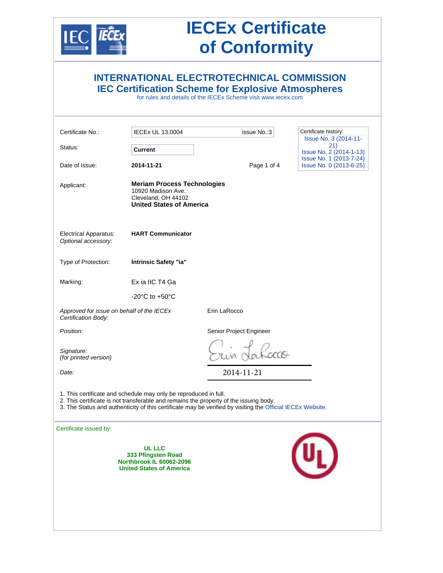

| <b>INTERNATIONAL ELECTROTECHNICAL COMMISSION</b><br><b>IEC Certification Scheme for Explosive Atmospheres</b><br>for rules and details of the IECEx Scheme visit www.iecex.com                                                                                          |                                                                                                                    |                         |                                                           |  |
|-------------------------------------------------------------------------------------------------------------------------------------------------------------------------------------------------------------------------------------------------------------------------|--------------------------------------------------------------------------------------------------------------------|-------------------------|-----------------------------------------------------------|--|
| Certificate No.:                                                                                                                                                                                                                                                        | <b>IECEx UL 13.0004</b>                                                                                            | issue No.:3             | Certificate history:<br>Issue No. 3 (2014-11-             |  |
| Status:                                                                                                                                                                                                                                                                 | Current                                                                                                            |                         | 21)<br>Issue No. 2 (2014-1-13)<br>Issue No. 1 (2013-7-24) |  |
| Date of Issue:                                                                                                                                                                                                                                                          | 2014-11-21                                                                                                         | Page 1 of 4             | Issue No. 0 (2013-6-25)                                   |  |
| Applicant:                                                                                                                                                                                                                                                              | <b>Meriam Process Technologies</b><br>10920 Madison Ave.<br>Cleveland, OH 44102<br><b>United States of America</b> |                         |                                                           |  |
| <b>Electrical Apparatus:</b><br>Optional accessory:                                                                                                                                                                                                                     | <b>HART Communicator</b>                                                                                           |                         |                                                           |  |
| Type of Protection:                                                                                                                                                                                                                                                     | Intrinsic Safety "ia"                                                                                              |                         |                                                           |  |
| Marking:                                                                                                                                                                                                                                                                | Ex ia IIC T4 Ga                                                                                                    |                         |                                                           |  |
|                                                                                                                                                                                                                                                                         | $-20^{\circ}$ C to $+50^{\circ}$ C                                                                                 |                         |                                                           |  |
| Approved for issue on behalf of the IECEx<br>Certification Body:                                                                                                                                                                                                        |                                                                                                                    | Erin LaRocco            |                                                           |  |
| Position:                                                                                                                                                                                                                                                               |                                                                                                                    | Senior Project Engineer |                                                           |  |
| Signature:<br>(for printed version)                                                                                                                                                                                                                                     |                                                                                                                    |                         |                                                           |  |
| Date:                                                                                                                                                                                                                                                                   |                                                                                                                    | 2014-11-21              |                                                           |  |
| 1. This certificate and schedule may only be reproduced in full.<br>2. This certificate is not transferable and remains the property of the issuing body.<br>3. The Status and authenticity of this certificate may be verified by visiting the Official IECEx Website. |                                                                                                                    |                         |                                                           |  |
| Certificate issued by:                                                                                                                                                                                                                                                  | <b>UL LLC</b><br>333 Pfingsten Road<br><b>Northbrook IL 60062-2096</b><br><b>United States of America</b>          |                         |                                                           |  |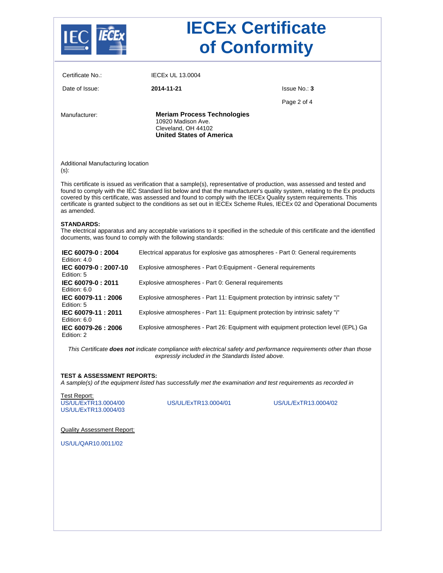

| Certificate No.:                             | <b>IECEX UL 13,0004</b>                                                                                            |                                                                                                                                                                                                                                                                                                                                                                                                                                                                                               |  |
|----------------------------------------------|--------------------------------------------------------------------------------------------------------------------|-----------------------------------------------------------------------------------------------------------------------------------------------------------------------------------------------------------------------------------------------------------------------------------------------------------------------------------------------------------------------------------------------------------------------------------------------------------------------------------------------|--|
| Date of Issue:                               | 2014-11-21                                                                                                         | Issue No.: 3                                                                                                                                                                                                                                                                                                                                                                                                                                                                                  |  |
|                                              |                                                                                                                    | Page 2 of 4                                                                                                                                                                                                                                                                                                                                                                                                                                                                                   |  |
| Manufacturer:                                | <b>Meriam Process Technologies</b><br>10920 Madison Ave.<br>Cleveland, OH 44102<br><b>United States of America</b> |                                                                                                                                                                                                                                                                                                                                                                                                                                                                                               |  |
| Additional Manufacturing location<br>$(s)$ : |                                                                                                                    |                                                                                                                                                                                                                                                                                                                                                                                                                                                                                               |  |
| as amended.                                  |                                                                                                                    | This certificate is issued as verification that a sample(s), representative of production, was assessed and tested and<br>found to comply with the IEC Standard list below and that the manufacturer's quality system, relating to the Ex products<br>covered by this certificate, was assessed and found to comply with the IECEx Quality system requirements. This<br>certificate is granted subject to the conditions as set out in IECEx Scheme Rules, IECEx 02 and Operational Documents |  |
| <b>STANDARDS:</b>                            | documents, was found to comply with the following standards:                                                       | The electrical apparatus and any acceptable variations to it specified in the schedule of this certificate and the identified                                                                                                                                                                                                                                                                                                                                                                 |  |
| IEC 60079-0: 2004<br>Edition: 4.0            | Electrical apparatus for explosive gas atmospheres - Part 0: General requirements                                  |                                                                                                                                                                                                                                                                                                                                                                                                                                                                                               |  |
| IEC 60079-0: 2007-10<br>Edition: 5           | Explosive atmospheres - Part 0: Equipment - General requirements                                                   |                                                                                                                                                                                                                                                                                                                                                                                                                                                                                               |  |
| IEC 60079-0: 2011<br>Edition: 6.0            | Explosive atmospheres - Part 0: General requirements                                                               |                                                                                                                                                                                                                                                                                                                                                                                                                                                                                               |  |
| IEC 60079-11: 2006<br>Edition: 5             | Explosive atmospheres - Part 11: Equipment protection by intrinsic safety "i"                                      |                                                                                                                                                                                                                                                                                                                                                                                                                                                                                               |  |
| IEC 60079-11: 2011<br>Edition: 6.0           | Explosive atmospheres - Part 11: Equipment protection by intrinsic safety "i"                                      |                                                                                                                                                                                                                                                                                                                                                                                                                                                                                               |  |
| IEC 60079-26: 2006<br>Edition: 2             | Explosive atmospheres - Part 26: Equipment with equipment protection level (EPL) Ga                                |                                                                                                                                                                                                                                                                                                                                                                                                                                                                                               |  |
|                                              |                                                                                                                    | This Certificate does not indicate compliance with electrical safety and performance requirements other than those<br>expressly included in the Standards listed above.                                                                                                                                                                                                                                                                                                                       |  |
| <b>TEST &amp; ASSESSMENT REPORTS:</b>        |                                                                                                                    |                                                                                                                                                                                                                                                                                                                                                                                                                                                                                               |  |

*A sample(s) of the equipment listed has successfully met the examination and test requirements as recorded in* 

Test Report: US/UL/ExTR13.0004/00 US/UL/ExTR13.0004/01 US/UL/ExTR13.0004/02 US/UL/ExTR13.0004/03

Quality Assessment Report:

US/UL/QAR10.0011/02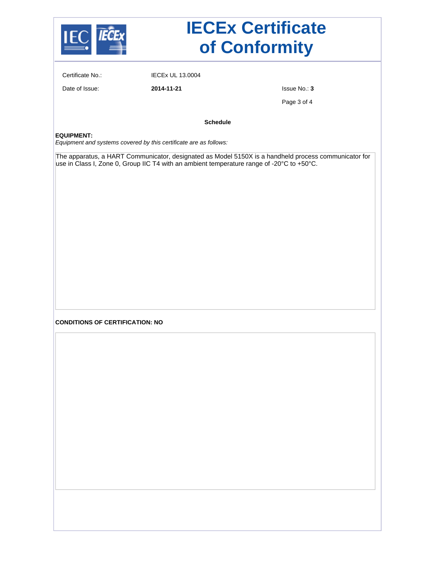

Certificate No.: IECEx UL 13.0004

Date of Issue: **2014-11-21** Issue No.: **3**

Page 3 of 4

**Schedule**

#### **EQUIPMENT:**

*Equipment and systems covered by this certificate are as follows:*

The apparatus, a HART Communicator, designated as Model 5150X is a handheld process communicator for use in Class I, Zone 0, Group IIC T4 with an ambient temperature range of -20°C to +50°C.

#### **CONDITIONS OF CERTIFICATION: NO**